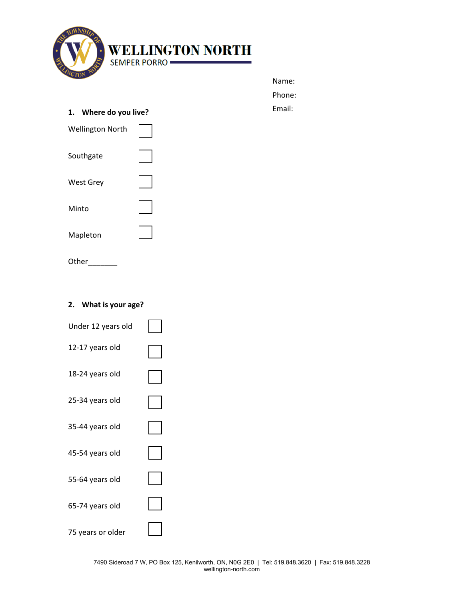

| Name:  |  |
|--------|--|
| Phone: |  |
| Email: |  |

**1. Where do you live?**

| <b>Wellington North</b> |  |
|-------------------------|--|
| Southgate               |  |
| <b>West Grey</b>        |  |
| Minto                   |  |
| Mapleton                |  |
| Other                   |  |

# **2. What is your age?**

| Under 12 years old |  |
|--------------------|--|
| 12-17 years old    |  |
| 18-24 years old    |  |
| 25-34 years old    |  |
| 35-44 years old    |  |
| 45-54 years old    |  |
| 55-64 years old    |  |
| 65-74 years old    |  |
| 75 years or older  |  |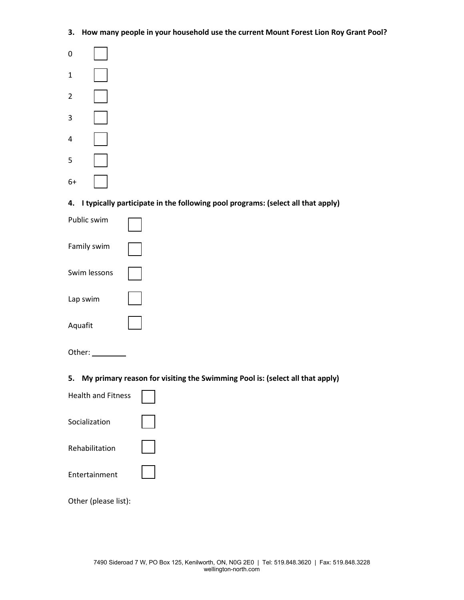**3. How many people in your household use the current Mount Forest Lion Roy Grant Pool?**



**4. I typically participate in the following pool programs: (select all that apply)**

| Public swim  |  |
|--------------|--|
| Family swim  |  |
| Swim lessons |  |
| Lap swim     |  |
| Aquafit      |  |
|              |  |

| Other: |  |
|--------|--|
|        |  |

**5. My primary reason for visiting the Swimming Pool is: (select all that apply)**

| <b>Health and Fitness</b> |  |
|---------------------------|--|
| Socialization             |  |
| Rehabilitation            |  |
| Entertainment             |  |
|                           |  |

Other (please list):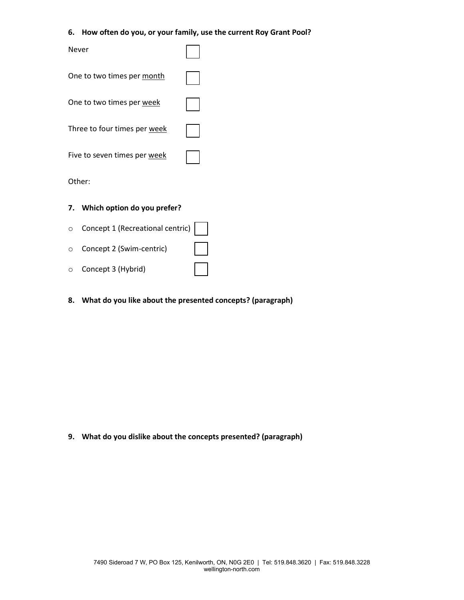#### **6. How often do you, or your family, use the current Roy Grant Pool?**

| Never                        |  |
|------------------------------|--|
| One to two times per month   |  |
| One to two times per week    |  |
| Three to four times per week |  |
| Five to seven times per week |  |
| Other:                       |  |

#### **7. Which option do you prefer?**

| O Concept 1 (Recreational centric) |              |
|------------------------------------|--------------|
| ○ Concept 2 (Swim-centric)         | $\mathbf{1}$ |
| ○ Concept 3 (Hybrid)               |              |

# **8. What do you like about the presented concepts? (paragraph)**

**9. What do you dislike about the concepts presented? (paragraph)**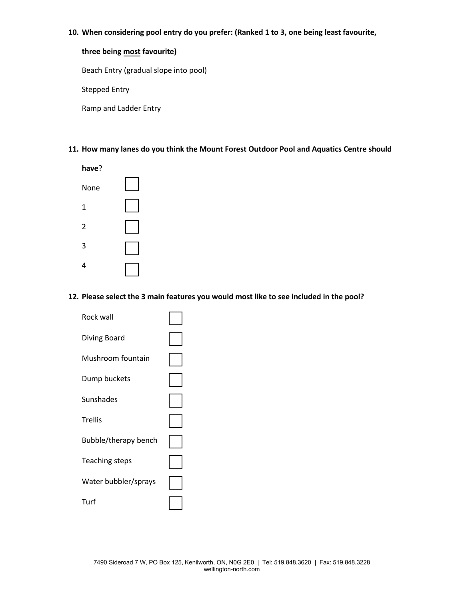#### **10. When considering pool entry do you prefer: (Ranked 1 to 3, one being least favourite,**

# **three being most favourite)**

Beach Entry (gradual slope into pool)

Stepped Entry

Ramp and Ladder Entry

## **11. How many lanes do you think the Mount Forest Outdoor Pool and Aquatics Centre should**



## **12. Please select the 3 main features you would most like to see included in the pool?**

| Rock wall             |  |
|-----------------------|--|
| Diving Board          |  |
| Mushroom fountain     |  |
| Dump buckets          |  |
| Sunshades             |  |
| <b>Trellis</b>        |  |
| Bubble/therapy bench  |  |
| <b>Teaching steps</b> |  |
| Water bubbler/sprays  |  |
| Turf                  |  |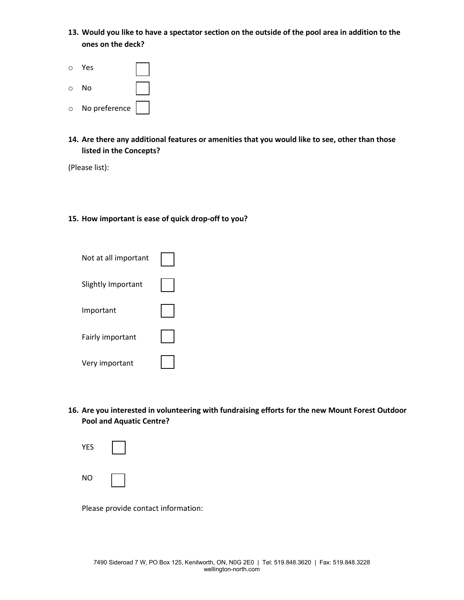**13. Would you like to have a spectator section on the outside of the pool area in addition to the ones on the deck?**



**14. Are there any additional features or amenities that you would like to see, other than those listed in the Concepts?**

(Please list):

## **15. How important is ease of quick drop-off to you?**

| Not at all important |  |
|----------------------|--|
| Slightly Important   |  |
| Important            |  |
| Fairly important     |  |
| Very important       |  |

**16. Are you interested in volunteering with fundraising efforts for the new Mount Forest Outdoor Pool and Aquatic Centre?**

| <b>YES</b> |  |
|------------|--|
| <b>NO</b>  |  |

Please provide contact information: